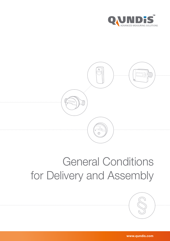



# General Conditions for Delivery and Assembly

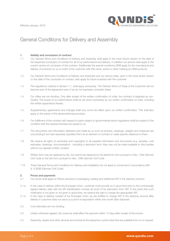

## General Conditions for Delivery and Assembly

#### 1. Validity and conclusion of contract

- 1.1 Our General Terms and Conditions of Delivery and Assembly shall apply in the most recent version on the date of the respective conclusion of contract for all of our performance and delivery. In addition our service rates apply in the current version at conclusion of the contract. Additionally the special conditions OEM apply for the manufacture and delivery of products by us on order of the customer with this name, brand or other marking as OEM products.
- 1.2 Our General Terms and Conditions of Delivery and Assembly and our service rates, each in the most recent version on the date of the conclusion of contract, also apply for future business with the customer.
- 1.3 The regulations outlined in Section 1.1. shall apply exclusively. The General Terms of Trade of the Customer will not become part of the agreement even if we do not expressly contradict these
- 1.4 Our offers are non-binding. Only after receipt of the written confirmation of order, the contract is regarded as concluded. The scope of our performance shall be set down exclusively by our written confirmation of order, including the written appendices thereto.
- 1.5 Supplementary agreements and changes shall only come into effect upon our written confirmation. This shall also apply to the waiver of the aforementioned provision.
- 1.6 Our fulfillment of the contract with respect to parts subject to governmental export regulations shall be subject to the condition that the required licenses are issued to us.
- 1.7 The documents and information delivered and made by us such as pictures, drawings, weights and measures are only binding if we have expressly specified them as an element of contract or make specific reference to them.
- 1.8 We reserve all rights of ownership and copyrights to all supplied information and documents (e.g. samples, cost estimates, drawings, documentation) - including in electronic form; they may not be made available to third parties without our express written consent.
- 1.9 Written form may be replaced by fax, but cannot be replaced by the electronic form pursuant to Sec. 126a German Civil Code or the text form pursuant to Sec. 126b German Civil Code.
- 1.10 These General Terms and Conditions for Delivery and Installation do not apply to consumers in accordance with § 13 BGB (German Civil Code).

#### 2. Prices and payments

- 2.1 Our prices shall apply ex Works exclusive of packaging, loading and additional VAT in the statutory amount.
- 2.1.a In the case of delivery within the European Union, customer must provide us in good time prior to the contractually agreed delivery date with his VAT identification number as proof of his exemption from VAT. In the event that such notification is not given or not given in good time, we reserve the right to charge the appropriate VAT.
- 2.1.b In the case of delivery outside of the European Union we are entitled to charge VAT in the statutory amount after delivery if customer does not send us a proof of exportation within one month after shipment.
- 2.2 Cost estimates are non-binding.
- 2.3 Unless otherwise agreed, the customer shall effect the payment within 14 days after receipt of the invoice.
- 2.4 Assembly, repairs and other services are invoiced at the respective current rates that are available from us on request.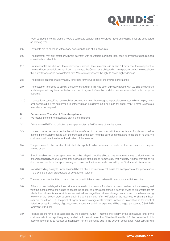

Work outside the normal working hours is subject to supplementary charges. Travel and waiting times are considered as working time.

- 2.5 Payments are to be made without any deduction to one of our accounts.
- 2.6 The customer may only offset or withhold payment with counterclaims whose legal basis or amount are not disputed or are final and absolute.
- 2.7 Our receivables are due with the receipt of our invoice. The Customer is in arrears 14 days after the receipt of the invoice without any additional reminder. In this case, the Customer is obligated to pay 9 percent default interest above the currently applicable basic interest rate. We expressly reserve the right to assert higher damage.
- 2.8 The prices of an offer shall only apply for orders for the full scope of the offered performance.
- 2.9 The customer is entitled to pay by cheque or bank draft if this has been expressly agreed with us. Bills of exchange and cheques will only be accepted on account of payment. Collection and discount expenses shall be borne by the customer.
- 2.10. In exceptional cases, if we have explicitly declared in writing that we agree to partial payments, the balance payments shall become due if the customer is in default with an installment in full or in part for longer than 14 days. A separate reminder is not required.

#### 3. Performance, Transfer of Risk, Acceptance

- 3.1 We reserve the right to reasonable partial performances.
- 3.2 Deliveries are EXW ex-production site as per Incoterms 2010 unless otherwise agreed.
- 3.3 In case of work performance the risk will be transferred to the customer with the acceptance of such work performance. If the customer takes over the transport of the item from the point of manufacture to the site of its use, the customer shall bear the risk for the duration of the transport.
- 3.4 The provisions for the transfer of risk shall also apply if partial deliveries are made or other services are to be performed by us.
- 3.5 Should a delivery or the acceptance of goods be delayed or not be effected due to circumstances outside the scope of our responsibility, the Customer shall bear all risks of the goods from the day that we notify him that they are at his disposal and ready for transport. We agree to take out the insurance demanded by the Customer at his expense.
- 3.6 Notwithstanding his rights under section 8 hereof, the customer may not refuse the acceptance of the performance in the event of insignificant defects or deviations in volume.
- 3.7 The customer is not entitled to return the goods which have been delivered in accordance with the contract.
- 3.8 If the shipment is delayed at the customer's request or for reasons for which he is responsible, or if we have agreed with the customer that the he has to accept the goods, and if the acceptance is delayed owing to circumstances for which the customer is responsible, we are entitled to charge the customer storage costs for each month amounting to 0.5 % of the relevant order volume, beginning with the month after notification of the readiness for shipment, however not more than 5 %. The proof of higher or lower storage costs remains unaffected. In addition, in the event of default of accepting delivery of goods, the consequential additional expenses will be charged pursuant to § 304 BGB (German Civil Code).
- 3.9 Release orders have to be accepted by the customer within 4 months after expiry of the contractual term. If the customer fails to accept the goods, he shall be in default on expiry of the deadline without further reminder. In this case we are entitled to request compensation for any damages due to the delay in acceptance. After stipulating a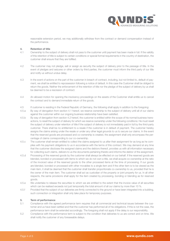

reasonable extension period, we may additionally withdraw from the contract or demand compensation instead of the performance.

#### 4. Retention of title

- 4.1 Ownership to the subject of delivery shall not pass to the customer until payment has been made in full. If the validity of this retention of title is subject to certain conditions or special formal requirements in the country of destination, the customer shall ensure that they are fulfilled.
- 4.2 The customer may not pledge, sell or assign as security the subject of delivery prior to the passage of title. In the event of pledges and seizures or other orders by third parties, the customer must inform the third party of our title and notify us without undue delay.
- 4.3 In the event of actions on the part of the customer in breach of contract, including, but not limited to, default of payment, we shall be entitled to repossession following a notice of default. In this case the Customer shall be obliged to return the goods. Neither the enforcement of the retention of title nor the pledge of the subject of delivery by us shall be deemed to be a rescission of contract.
- 4.4 An allowed motion for opening the insolvency proceedings on the assets of the Customer shall entitle us to cancel the contract and to demand immediate return of the goods.
- 4.5 If customer is residing in the Federal Republic of Germany, the following shall apply in addition to the foregoing:
- 4.5.a By way of derogation from section 4.1 hereof, we reserve ownership to the subject of delivery until all of our claims against the customer within our ongoing business relationship have been satisfied.
- 4.5.b By way of derogation from section 4.2 hereof, the customer is entitled within the scope of his normal business transactions, to resell the subject of delivery for which we reserve ownership under the following conditions: He must resell the subject of delivery under retention of title if the subject of delivery is not immediately paid in full by the third-party customer. There shall be no entitlement to a resale if the customer is in default of payment. The customer hereby assigns the claims arising under the resale or under any other legal grounds to us to secure our claims. In the event that the reserved goods are processed and co-ownership is created, the assignment shall only encompass the percentage of claims corresponding to our co-ownership.
- 4.5.c The customer shall remain entitled to collect the claims assigned to us after their assignment for as long as he complies with his payment obligations to us in accordance with the terms of this contract. We may demand at any time that the customer discloses the assigned claims and the debtors thereof, provides us with all information necessary for collecting such claims, delivers to us the documents pertaining thereto and informs the debtor of the assignment.
- 4.5.d Processing of the reserved goods by the customer shall always be effected on our behalf. If the reserved goods are blended, bonded or processed with items to which we do not own a title, we shall acquire co-ownership at the ratio of the invoiced value of the reserved goods to the other processed items at the time of processing. If our goods are blended, bonded or processed with other movables to a single item and if the other item is to be viewed as the main item, it shall be deemed that the customer shall transfer proportionate co-ownership to us, provided that he is the owner of the main item. The customer shall act as custodian of the property or joint property for us. In all other respects, the same provisions shall apply for the item created by processing, bonding or blending as for reserved goods.
- 4.5.e We undertake to release the securities to which we are entitled to the extent that the invoice value of all securities which can be realised exceeds not just temporarily the total amount of all our claims by more than 10 %.
- 4.5.f Provided that the subject of our deliveries are firmly connected to the ground or have been integrated into a building, such connection or integration shall only take place for temporary purposes.

#### 5. Term of performance

- 5.1 Compliance with the agreed performance term requires that all commercial and technical issues between the customer and us have been settled and that the customer has performed all of his obligations. If this is not the case, the performance term shall be extended accordingly. The foregoing shall not apply if the delay is our responsibility.
- 5.2 Compliance with the performance term is subject to the condition that deliveries to us are correct and on time. We shall notify the customer of any foreseeable delays.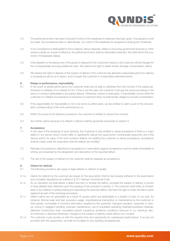

- 5.3 The performance term has been honoured if notice of the readiness for shipment has been given. If acceptance must be made, the acceptance date or, alternatively, our notice of the readiness for acceptance shall govern timeliness.
- 5.4 If non-compliance is attributable to force majeure, labour disputes, delays in procuring government licences or other events outside our scope of influence, the performance term shall be reasonably extended. We shall inform the customer of foreseeable delays.
- 5.5 If the dispatch or the taking over of the goods is delayed for the Customer's reasons, the Customer will be charged for the consequentially accruing additional costs. We reserve the right to assert further damage compensation claims.
- 5.6 We reserve the right to dispose of the subject of delivery if the customer has allowed a reasonable period for delivery or acceptance set by us to expire, and to supply the customer in a reasonably extended period.

#### 6. Delays in performance, impossibility

- 6.1 In the event of partial performance the Customer shall only be able to withdraw from the contract if the partial performance is verifiably of no interest to him. If this is not the case, the customer must pay the prices according to the terms of contract attributable to the partial delivery. Otherwise, section 9 shall apply. If impossibility occurs while the customer is in default of acceptance or because of customer's fault, he shall remain obliged to provide consideration.
- 6.2 If the responsibility for impossibility is not to be borne by either party, we are entitled to claim a part of the remuneration corresponding to the work performed by us.
- 6.3 Within the scope of the statutory provisions, the customer is entitled to rescind the contract.
- 6.4 Any further claims because of a default in delivery shall be governed exclusively by section 9.

#### 7. Acceptance

- 7.1 In the case of the rendering of work services, the Customer is only entitled to refuse acceptance if there is a major defect in our service which would nullify or significantly reduce the usual and/or contractually presumed use of the service and/or its value. If the work contains defects not entitling the customer to refuse acceptance, acceptance shall be made under the reservation that the defects are rectified.
- 7.2 Refusals of acceptance, objections to acceptance or reservations against acceptance must be made immediately in writing, accompanied by the designation and description of the reported defect.
- 7.3 The use of the subject of delivery by the customer shall be regarded as acceptance.

#### 8. Claims for defects

- 8.1 The following provisions also apply to legal defects or defects of quality:
- 8.1.a Claims for defects by the customer are based on the assumption that he has properly adhered to the examination and complaint stipulations as outlined in § 377 German Commercial Code.
- 8.1.b At our discretion we shall deliver a defect-free item or remedy the defect, provided the subject of delivery is proven to have already been defective upon the passing of risk pursuant to section 3. The customer shall notify us immediately of any defects in writing stating and describing the reported defect. We have the right to retain the title to parts replaced as part of the exchange procedure.
- 8.1.c Defect claims are not generated as a result of causes which are attributable to a breach of duty on our part, for instance: Normal wear and tear, excessive usage, unprofessional intervention or maintenance by the customer or third parties, incomplete or incorrect information supplied by the customer, improper operation, assembly or startup, wrong or negligent handling, improper maintenance, use of unsuitable operating materials/substitute materials, defective construction work, unsuitable subsoil, hazardous ambience conditions unknown to us, chemical, electro-chemical or electrical influences, changes to the subject of delivery made without our consent.
- 8.1.d The customer must provide us with the required time and opportunity for subsequent performance. If we are not provided with this opportunity, we shall not be liable for any resulting consequences.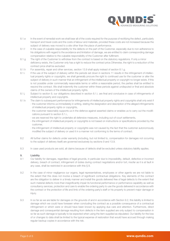

- 8.1.e In the event of remedial work we shall bear all of the costs required for the purpose of rectifying the defect, particularly transport and travel costs and the costs of labour and materials, provided these costs are not increased because the subject of delivery was moved to a site other than the place of performance.
- 8.1.f In the case of culpable responsibility for the defects on the part of the Customer, especially due to non-adherence to his obligations with regard to the avoidance and limitation of damage, we are entitled to claim corresponding damage compensation relative to the culpable responsibility of the Customer after fulfilment.
- 8.1.g The right of the Customer to withdraw from the contract is based on the statutory regulations. If only a minor deficiency exists, the Customer only has a right to reduce the contract price.Otherwise, the right to a reduction of the contract price shall be excluded.
- 8.1.h For assembly, repair and other services, section 13.9 shall apply instead of section 8.1.g.
- 8.1.i If the use of the subject of delivery within the periods set down in sections 11 results in the infringement of intellectual property rights or copyrights, we shall generally procure the right to continued use for the customer or alter the subject of delivery in such manner that an infringement of the intellectual property or copyright no longer exists. If this is not possible under commercially reasonable terms or within a reasonable period, the parties shall be entitled to rescind the contract. We shall indemnify the customer within these periods against undisputed or final and absolute claims of the owners of the intellectual property rights.
- 8.1.j Subject to section 9, our obligations described in section 8.1.i. are final and conclusive in case of infringements of intellectual property and copyrights.
- 8.1.k The claim to subsequent performance for infringements of intellectual property rights and copyrights shall only exist if
	- the customer informs us immediately in writing, stating the designation and description of the alleged infringements of intellectual property rights or copyrights,
		- the customer reasonably supports us in the defence against asserted claims or enables us to carry out the modifications pursuant to section 8.1.i.,
		- we are reserved the right to undertake all defensive measures, including out-of-court settlements,
		- the infringement of intellectual property or copyrights is not based on instructions or specifications provided by the customer,
		- the infringement of intellectual property or copyrights was not caused by the fact that the customer autonomously modified the subject of delivery or used it in a manner not conforming to the terms of contract.
- 8.2 All further claims for defects under warranty (including, but not limited to, compensation for damages not occurring to the subject of delivery itself) are governed exclusively by sections 9 and 13.9.
- 8.3 In case used products are sold, all claims because of defects shall be excluded unless statutory liability applies.

### 9. Liability

- 9.1 Our liability for damages, regardless of legal grounds, in particular due to impossibility, default, defective or incorrect delivery, breach of contract, infringement of duties during contract negotiations and/or tort, insofar as it is at fault in any case, shall be restricted in accordance with this § 9.
- 9.2 In the case of minor negligence our organs, legal representatives, employees or other agents we are not liable to the extent that this does not involve a breach of significant contractual obligations. Key elements of the contract are the obligation to deliver in a timely manner and install the goods delivered free of legal defects to the extent that such material defects more than insignificantly impair its functional performance or performance capability as well as consultancy services, protection and care to enable the ordering party to use the goods delivered in accordance with the contract or the protection of life and limb of the ordering party's staff or his property to prevent major damage or injury.
- 9.3 In so far as we are liable for damages on the grounds of and in accordance with Section 9.2, this liability is limited to damage which we could have foreseen when concluding the contract as a possible consequence of a contractual infringement or which were or should have been known by applying due care and attention. Furthermore, direct damage and consequential damage resulting from defects in the item supplied are only subject to compensation in so far as such damage is typically to be expected when using the item supplied as stipulated. Our liability for the loss of or changes to data shall be limited to the typical expense of restoration that would have accrued through making regular backup copies in accordance with the risk.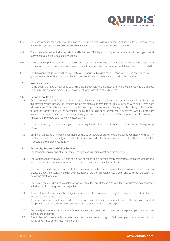

- 9.4 The compensation for purely pecuniary loss shall be limited by the general principles of good faith, for instance if the amount of loss lies unreasonably above the amount of the order and the amount of damage.
- 9.5 The aforementioned exclusions of liability and limitations of liability shall apply to the same extent to our organs, legal representatives, employees or other agents.
- 9.6 In so far as we provide technical information or act as a consultant and this information or advice is not part of the contractually agreed scope of services owed by us, this is done free of charge and with the exclusion of any liability.
- 9.7 The limitations of this Section 9 do not apply to our liability with regard to wilful conduct or gross negligence, for guaranteed features, due to injury to life, body or health, or in accordance with product liability laws.

#### 10. Insurance claims

 To the extent we have direct claims as a joint policyholder against the customer's insurer with respect to the subject of delivery, the customer hereby gives his consent to the assertion of such claims.

#### 11. Period of limitation

- 11.1 Customer's claims for defects lapse in 12 months after the transfer of risk unless otherwise agreed. Notwithstanding the aforementioned period, the limitation period for defects of products of Product Groups Q caloric 5 (heat cost allocators) and Q heat 5 (heat meters) amounts to 4 complete calendar years starting with the 1st day of the year that follows the transfer of risk. If the contractual object is a building or an object that, in conformity with its customary manner of utilization, has been used as a building and which caused the defect (building material), the statute of limitations is five years as of delivery or acceptance.
- 11.2 All other claims by the customer, regardless of the legal basis of claim, shall be barred 12 months as of the passing of risk.
- 11.3 Claims for damages of the Customer that arise due to deliberate or grossly negligent behaviour that involve injury to life, limb or health and are subject to a statute of limitation under the German law on product liability lapse but solely in accordance with legal regulations.

#### 12. Assembly, Repairs and Other Services

For assembly, repairs and other services , the following provisions shall apply in addition:

- 12.1 The customer has to inform our staff at his own expense about existing safety regulations and safety hazards and has to take all necessary measures to protect persons and property at the workplace.
- 12.2 The customer has to support our staff to the extent required at his own expense in the execution of the works and to provide the required assistance, such as preparation of the site, provision of tools and lifting equipment, provision of water and electricity, etc.
- 12.3 The assistance provided by the customer has to ensure that our staff can start with their work immediately after their arrival and without delay until the inspection.
- 12.4 If the customer does not meet his obligations, we are entitled, however not obliged, to carry out the tasks instead of him and at his expense.
- 12.5 If our performance cannot be carried out by us on grounds for which we are not responsible, the customer shall compensate us for already rendered performance and any incurred time and expense.
- 12.6 Replaced parts remain our property. We reserve the right to forego our property of the replaced parts against payment by the customer.
- 12.7 Should the performance perish or deteriorate prior to acceptance through no fault on our part, the customer shall pay us the price minus any savings in expenses.